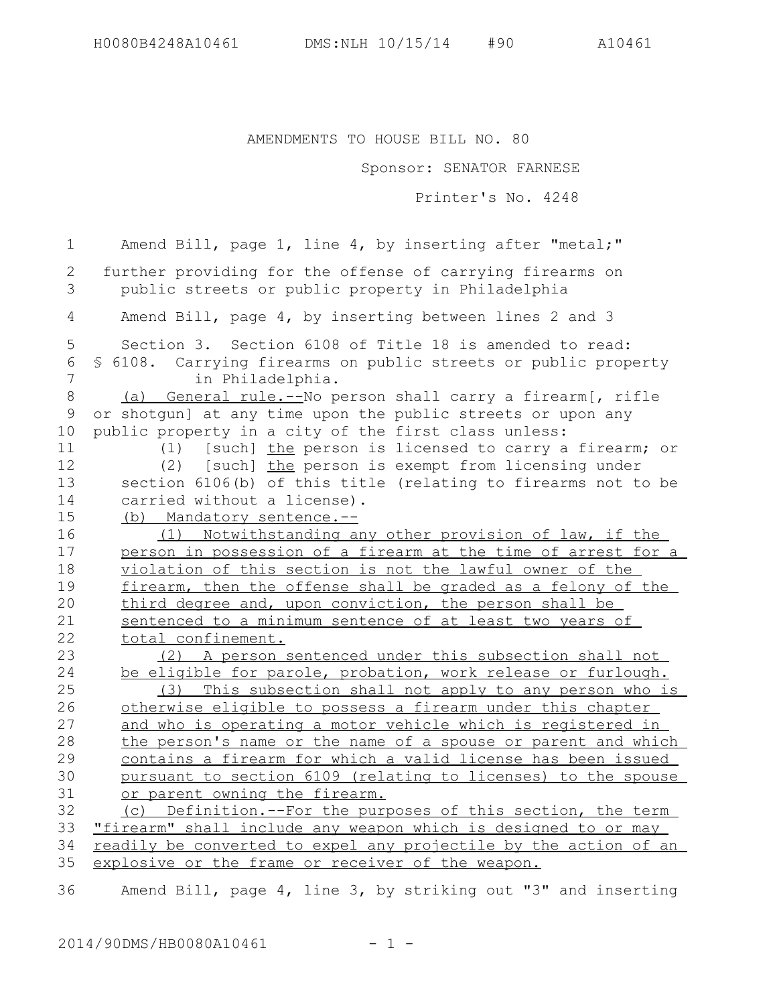AMENDMENTS TO HOUSE BILL NO. 80

Sponsor: SENATOR FARNESE

Printer's No. 4248

Amend Bill, page 1, line 4, by inserting after "metal;" further providing for the offense of carrying firearms on public streets or public property in Philadelphia Amend Bill, page 4, by inserting between lines 2 and 3 Section 3. Section 6108 of Title 18 is amended to read: § 6108. Carrying firearms on public streets or public property in Philadelphia. (a) General rule.--No person shall carry a firearm[, rifle or shotgun] at any time upon the public streets or upon any public property in a city of the first class unless: (1) [such] the person is licensed to carry a firearm; or (2) [such] the person is exempt from licensing under section 6106(b) of this title (relating to firearms not to be carried without a license). (b) Mandatory sentence.-- (1) Notwithstanding any other provision of law, if the person in possession of a firearm at the time of arrest for a violation of this section is not the lawful owner of the firearm, then the offense shall be graded as a felony of the third degree and, upon conviction, the person shall be sentenced to a minimum sentence of at least two years of total confinement. (2) A person sentenced under this subsection shall not be eligible for parole, probation, work release or furlough. (3) This subsection shall not apply to any person who is otherwise eligible to possess a firearm under this chapter and who is operating a motor vehicle which is registered in the person's name or the name of a spouse or parent and which contains a firearm for which a valid license has been issued pursuant to section 6109 (relating to licenses) to the spouse or parent owning the firearm. (c) Definition.--For the purposes of this section, the term "firearm" shall include any weapon which is designed to or may readily be converted to expel any projectile by the action of an explosive or the frame or receiver of the weapon. 1 2 3 4 5 6 7 8 9 10 11 12 13 14 15 16 17 18 19 20 21 22 23 24 25 26 27 28 29 30 31 32 33 34 35

Amend Bill, page 4, line 3, by striking out "3" and inserting 36